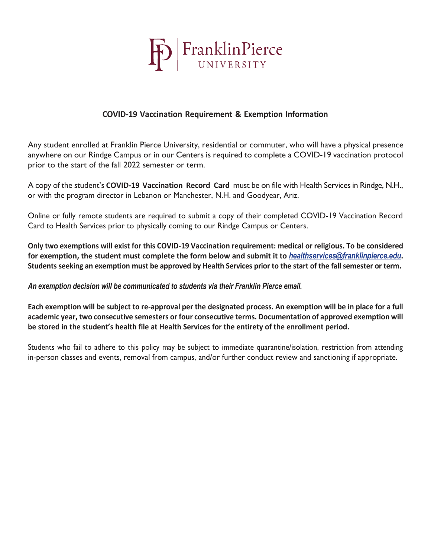

## **COVID-19 Vaccination Requirement & Exemption Information**

Any student enrolled at Franklin Pierce University, residential or commuter, who will have a physical presence anywhere on our Rindge Campus or in our Centers is required to complete a COVID-19 vaccination protocol prior to the start of the fall 2022 semester or term.

A copy of the student's **COVID-19 Vaccination Record Card** must be on file with Health Servicesin Rindge, N.H., or with the program director in Lebanon or Manchester, N.H. and Goodyear, Ariz.

Online or fully remote students are required to submit a copy of their completed COVID-19 Vaccination Record Card to Health Services prior to physically coming to our Rindge Campus or Centers.

Only two exemptions will exist for this COVID-19 Vaccination requirement: medical or religious. To be considered **for exemption, the student must complete the form below and submit it to** *[healthservices@franklinpierce.edu](mailto:healthservices@franklinpierce.edu)***.** Students seeking an exemption must be approved by Health Services prior to the start of the fall semester or term.

*An exemption decision will be communicated to students via their Franklin Pierce email.*

Each exemption will be subject to re-approval per the designated process. An exemption will be in place for a full **academic year, two consecutive semesters or four consecutive terms. Documentation of approved exemption will be stored in the student's health file at Health Services for the entirety of the enrollment period.**

Students who fail to adhere to this policy may be subject to immediate quarantine/isolation, restriction from attending in-person classes and events, removal from campus, and/or further conduct review and sanctioning if appropriate.